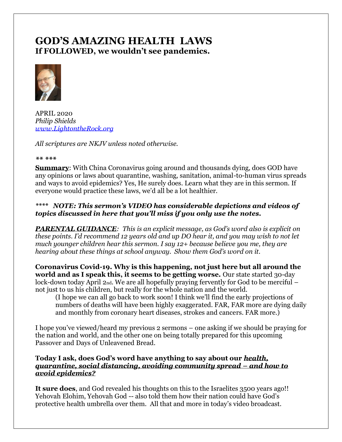# **GOD'S AMAZING HEALTH LAWS If FOLLOWED, we wouldn't see pandemics.**



APRIL 2020 *Philip Shields [www.LightontheRock.org](http://www.lightontherock.org/)*

*All scriptures are NKJV unless noted otherwise.* 

#### *\*\* \*\*\**

**Summary:** With China Coronavirus going around and thousands dying, does GOD have any opinions or laws about quarantine, washing, sanitation, animal-to-human virus spreads and ways to avoid epidemics? Yes, He surely does. Learn what they are in this sermon. If everyone would practice these laws, we'd all be a lot healthier.

# *\*\*\*\* NOTE: This sermon's VIDEO has considerable depictions and videos of topics discussed in here that you'll miss if you only use the notes.*

*PARENTAL GUIDANCE: This is an explicit message, as God's word also is explicit on these points. I'd recommend 12 years old and up DO hear it, and you may wish to not let much younger children hear this sermon. I say 12+ because believe you me, they are hearing about these things at school anyway. Show them God's word on it.* 

**Coronavirus Covid-19. Why is this happening, not just here but all around the world and as I speak this, it seems to be getting worse.** Our state started 30-day lock-down today April 2nd. We are all hopefully praying fervently for God to be merciful – not just to us his children, but really for the whole nation and the world.

(I hope we can all go back to work soon! I think we'll find the early projections of numbers of deaths will have been highly exaggerated. FAR, FAR more are dying daily and monthly from coronary heart diseases, strokes and cancers. FAR more.)

I hope you've viewed/heard my previous 2 sermons – one asking if we should be praying for the nation and world, and the other one on being totally prepared for this upcoming Passover and Days of Unleavened Bread.

# **Today I ask, does God's word have anything to say about our** *health, quarantine, social distancing, avoiding community spread – and how to avoid epidemics?*

**It sure does**, and God revealed his thoughts on this to the Israelites 3500 years ago!! Yehovah Elohim, Yehovah God -- also told them how their nation could have God's protective health umbrella over them. All that and more in today's video broadcast.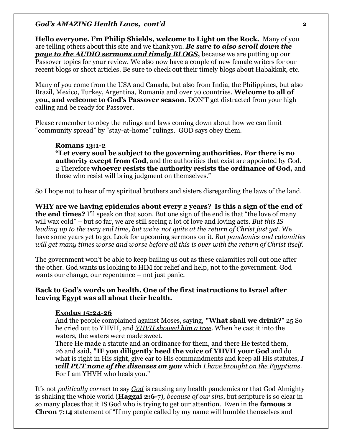**Hello everyone. I'm Philip Shields, welcome to Light on the Rock.** Many of you are telling others about this site and we thank you. *Be sure to also scroll down the page to the AUDIO sermons and timely BLOGS***,** because we are putting up our Passover topics for your review. We also now have a couple of new female writers for our recent blogs or short articles. Be sure to check out their timely blogs about Habakkuk, etc.

Many of you come from the USA and Canada, but also from India, the Philippines, but also Brazil, Mexico, Turkey, Argentina, Romania and over 70 countries. **Welcome to all of you, and welcome to God's Passover season**. DON'T get distracted from your high calling and be ready for Passover.

Please remember to obey the rulings and laws coming down about how we can limit "community spread" by "stay-at-home" rulings. GOD says obey them.

### **Romans 13:1-2**

**"Let every soul be subject to the governing authorities. For there is no authority except from God**, and the authorities that exist are appointed by God. 2 Therefore **whoever resists the authority resists the ordinance of God,** and those who resist will bring judgment on themselves."

So I hope not to hear of my spiritual brothers and sisters disregarding the laws of the land.

**WHY are we having epidemics about every 2 years? Is this a sign of the end of the end times?** I'll speak on that soon. But one sign of the end is that "the love of many will wax cold" – but so far, we are still seeing a lot of love and loving acts*. But this IS leading up to the very end time, but we're not quite at the return of Christ just yet.* We have some years yet to go. Look for upcoming sermons on it. *But pandemics and calamities will get many times worse and worse before all this is over with the return of Christ itself.*

The government won't be able to keep bailing us out as these calamities roll out one after the other. God wants us looking to HIM for relief and help, not to the government. God wants our change, our repentance – not just panic.

# **Back to God's words on health. One of the first instructions to Israel after leaving Egypt was all about their health.**

### **Exodus 15:24-26**

And the people complained against Moses, saying, **"What shall we drink?**" 25 So he cried out to YHVH, and *YHVH showed him a tree*. When he cast it into the waters, the waters were made sweet.

There He made a statute and an ordinance for them, and there He tested them, 26 and said**, "IF you diligently heed the voice of YHVH your God** and do what is right in His sight, give ear to His commandments and keep all His statutes, *I will PUT none of the diseases on you* which *I have brought on the Egyptians*. For I am YHVH who heals you."

It's not *politically correct* to say *God* is causing any health pandemics or that God Almighty is shaking the whole world (**Haggai 2:6-**7)*, because of our sins*, but scripture is so clear in so many places that it IS God who is trying to get our attention. Even in the **famous 2 Chron 7:14** statement of "If my people called by my name will humble themselves and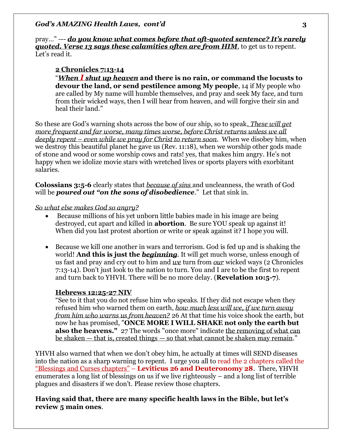pray…" --- *do you know what comes before that oft-quoted sentence? It's rarely quoted. Verse 13 says these calamities often are from HIM***, to get us to repent.** Let's read it.

### **2 Chronicles 7:13-14**

"*When I shut up heaven* **and there is no rain, or command the locusts to devour the land, or send pestilence among My people**, 14 if My people who are called by My name will humble themselves, and pray and seek My face, and turn from their wicked ways, then I will hear from heaven, and will forgive their sin and heal their land."

So these are God's warning shots across the bow of our ship, so to speak*. These will get more frequent and far worse, many times worse, before Christ returns unless we all deeply repent – even while we pray for Christ to return soon*. When we disobey him, when we destroy this beautiful planet he gave us (Rev. 11:18), when we worship other gods made of stone and wood or some worship cows and rats! yes, that makes him angry. He's not happy when we idolize movie stars with wretched lives or sports players with exorbitant salaries.

**Colossians 3:5-6** clearly states that *because of sins* and uncleanness, the wrath of God will be *poured out "on the sons of disobedience*." Let that sink in.

#### *So what else makes God so angry?*

- Because millions of his yet unborn little babies made in his image are being destroyed, cut apart and killed in **abortion**. Be sure YOU speak up against it! When did you last protest abortion or write or speak against it? I hope you will.
- Because we kill one another in wars and terrorism. God is fed up and is shaking the world! **And this is just the** *beginning*. It will get much worse, unless enough of us fast and pray and cry out to him and *we* turn from *our* wicked ways (2 Chronicles 7:13-14). Don't just look to the nation to turn. You and I are to be the first to repent and turn back to YHVH. There will be no more delay. (**Revelation 10:5-7**).

### **Hebrews 12:25-27 NIV**

"See to it that you do not refuse him who speaks. If they did not escape when they refused him who warned them on earth, *how much less will we, if we turn away from him who warns us from heaven?* 26 At that time his voice shook the earth, but now he has promised, "**ONCE MORE I WILL SHAKE not only the earth but also the heavens."** 27 The words "once more" indicate the removing of what can be shaken — that is, created things — so that what cannot be shaken may remain."

YHVH also warned that when we don't obey him, he actually at times will SEND diseases into the nation as a sharp warning to repent. I urge you all to read the 2 chapters called the "Blessings and Curses chapters" – **Leviticus 26 and Deuteronomy 28**. There, YHVH enumerates a long list of blessings on us if we live righteously – and a long list of terrible plagues and disasters if we don't. Please review those chapters.

**Having said that, there are many specific health laws in the Bible, but let's review 5 main ones**.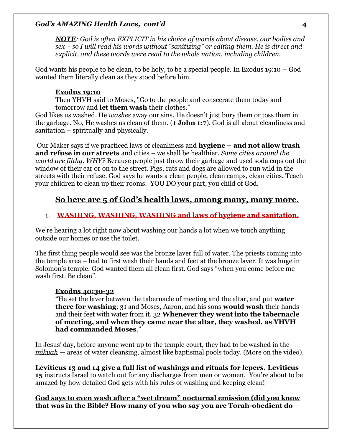*NOTE: God is often EXPLICIT in his choice of words about disease, our bodies and sex - so I will read his words without "sanitizing" or editing them. He is direct and explicit, and these words were read to the whole nation, including children.* 

God wants his people to be clean, to be holy, to be a special people. In Exodus 19:10 – God wanted them literally clean as they stood before him.

# **Exodus 19:10**

Then YHVH said to Moses, "Go to the people and consecrate them today and tomorrow and **let them wash** their clothes."

God likes us washed. He *washes* away our sins. He doesn't just bury them or toss them in the garbage. No, He washes us clean of them. (**1 John 1:7**). God is all about cleanliness and sanitation – spiritually and physically.

Our Maker says if we practiced laws of cleanliness and **hygiene – and not allow trash and refuse in our streets** and cities – we shall be healthier. *Some cities around the world are filthy. WHY?* Because people just throw their garbage and used soda cups out the window of their car or on to the street. Pigs, rats and dogs are allowed to run wild in the streets with their refuse. God says he wants a clean people, clean camps, clean cities. Teach your children to clean up their rooms. YOU DO your part, you child of God.

# **So here are 5 of God's health laws, among many, many more.**

# 1. **WASHING, WASHING, WASHING and laws of hygiene and sanitation.**

We're hearing a lot right now about washing our hands a lot when we touch anything outside our homes or use the toilet.

The first thing people would see was the bronze laver full of water. The priests coming into the temple area – had to first wash their hands and feet at the bronze laver. It was huge in Solomon's temple. God wanted them all clean first. God says "when you come before me – wash first. Be clean".

# **Exodus 40:30-32**

"He set the laver between the tabernacle of meeting and the altar, and put **water there for washing**; 31 and Moses, Aaron, and his sons **would wash** their hands and their feet with water from it. 32 **Whenever they went into the tabernacle of meeting, and when they came near the altar, they washed, as YHVH had commanded Moses**."

In Jesus' day, before anyone went up to the temple court, they had to be washed in the *mikvah* — areas of water cleansing, almost like baptismal pools today. (More on the video).

**Leviticus 13 and 14 give a full list of washings and rituals for lepers. Leviticus 15** instructs Israel to watch out for any discharges from men or women.You're about to be amazed by how detailed God gets with his rules of washing and keeping clean!

**God says to even wash after a "wet dream" nocturnal emission (did you know that was in the Bible? How many of you who say you are Torah-obedient do**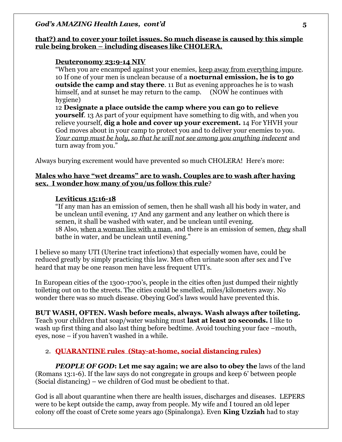### **that?) and to cover your toilet issues. So much disease is caused by this simple rule being broken – including diseases like CHOLERA.**

# **Deuteronomy 23:9-14 NIV**

"When you are encamped against your enemies, keep away from everything impure. 10 If one of your men is unclean because of a **nocturnal emission, he is to go outside the camp and stay there**. 11 But as evening approaches he is to wash himself, and at sunset he may return to the camp. (NOW he continues with hygiene)

12 **Designate a place outside the camp where you can go to relieve yourself**. 13 As part of your equipment have something to dig with, and when you relieve yourself, **dig a hole and cover up your excrement.** 14 For YHVH your God moves about in your camp to protect you and to deliver your enemies to you. *Your camp must be holy, so that he will not see among you anything indecent* and turn away from you."

Always burying excrement would have prevented so much CHOLERA! Here's more:

# **Males who have "wet dreams" are to wash. Couples are to wash after having sex. I wonder how many of you/us follow this rule**?

# **Leviticus 15:16-18**

"If any man has an emission of semen, then he shall wash all his body in water, and be unclean until evening. 17 And any garment and any leather on which there is semen, it shall be washed with water, and be unclean until evening. 18 Also, when a woman lies with a man, and there is an emission of semen, *they* shall bathe in water, and be unclean until evening."

I believe so many UTI (Uterine tract infections) that especially women have, could be reduced greatly by simply practicing this law. Men often urinate soon after sex and I've heard that may be one reason men have less frequent UTI's.

In European cities of the 1300-1700's, people in the cities often just dumped their nightly toileting out on to the streets. The cities could be smelled, miles/kilometers away. No wonder there was so much disease. Obeying God's laws would have prevented this.

**BUT WASH, OFTEN. Wash before meals, always. Wash always after toileting.** Teach your children that soap/water washing must **last at least 20 seconds.** I like to wash up first thing and also last thing before bedtime. Avoid touching your face –mouth, eyes, nose – if you haven't washed in a while.

# 2. **QUARANTINE rules (Stay-at-home, social distancing rules)**

*PEOPLE OF GOD***: Let me say again; we are also to obey the** laws of the land (Romans 13:1-6). If the law says do not congregate in groups and keep 6' between people (Social distancing) – we children of God must be obedient to that.

God is all about quarantine when there are health issues, discharges and diseases. LEPERS were to be kept outside the camp, away from people. My wife and I toured an old leper colony off the coast of Crete some years ago (Spinalonga). Even **King Uzziah** had to stay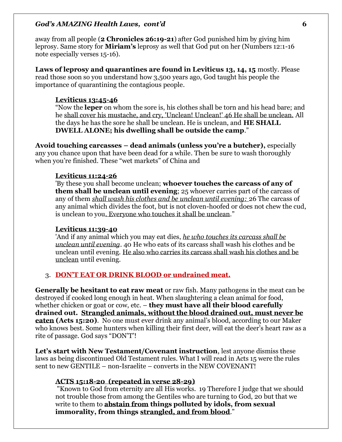away from all people (**2 Chronicles 26:19-21**) after God punished him by giving him leprosy. Same story for **Miriam's** leprosy as well that God put on her (Numbers 12:1-16 note especially verses 15-16).

**Laws of leprosy and quarantines are found in Leviticus 13, 14, 15** mostly. Please read those soon so you understand how 3,500 years ago, God taught his people the importance of quarantining the contagious people.

### **Leviticus 13:45-46**

"Now the **leper** on whom the sore is, his clothes shall be torn and his head bare; and he shall cover his mustache, and cry, 'Unclean! Unclean!' 46 He shall be unclean. All the days he has the sore he shall be unclean. He is unclean, and **HE SHALL DWELL ALONE; his dwelling shall be outside the camp**."

**Avoid touching carcasses – dead animals (unless you're a butcher),** especially any you chance upon that have been dead for a while. Then be sure to wash thoroughly when you're finished. These "wet markets" of China and

#### **Leviticus 11:24-26**

'By these you shall become unclean; **whoever touches the carcass of any of them shall be unclean until evening**; 25 whoever carries part of the carcass of any of them *shall wash his clothes and be unclean until evening:* 26 The carcass of any animal which divides the foot, but is not cloven-hoofed or does not chew the cud, is unclean to you. Everyone who touches it shall be unclean."

#### **Leviticus 11:39-40**

'And if any animal which you may eat dies, *he who touches its carcass shall be unclean until evening*. 40 He who eats of its carcass shall wash his clothes and be unclean until evening. He also who carries its carcass shall wash his clothes and be unclean until evening.

# 3. **DON'T EAT OR DRINK BLOOD or undrained meat.**

**Generally be hesitant to eat raw meat** or raw fish. Many pathogens in the meat can be destroyed if cooked long enough in heat. When slaughtering a clean animal for food, whether chicken or goat or cow, etc. – **they must have all their blood carefully drained out. Strangled animals, without the blood drained out, must never be eaten (Acts 15:20)**. No one must ever drink any animal's blood, according to our Maker who knows best. Some hunters when killing their first deer, will eat the deer's heart raw as a rite of passage. God says "DON'T'!

**Let's start with New Testament/Covenant instruction**, lest anyone dismiss these laws as being discontinued Old Testament rules. What I will read in Acts 15 were the rules sent to new GENTILE – non-Israelite – converts in the NEW COVENANT!

#### **ACTS 15:18-20 (repeated in verse 28-29)**

"Known to God from eternity are all His works. 19 Therefore I judge that we should not trouble those from among the Gentiles who are turning to God, 20 but that we write to them to **abstain from things polluted by idols, from sexual immorality, from things strangled, and from blood**."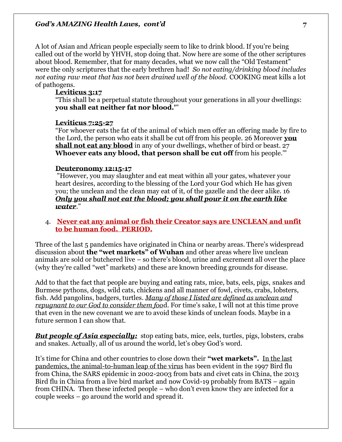A lot of Asian and African people especially seem to like to drink blood. If you're being called out of the world by YHVH, stop doing that. Now here are some of the other scriptures about blood. Remember, that for many decades, what we now call the "Old Testament" were the only scriptures that the early brethren had! *So not eating/drinking blood includes not eating raw meat that has not been drained well of the blood.* COOKING meat kills a lot of pathogens.

#### **Leviticus 3:17**

"This shall be a perpetual statute throughout your generations in all your dwellings: **you shall eat neither fat nor blood.'**"

#### **Leviticus 7:25-27**

"For whoever eats the fat of the animal of which men offer an offering made by fire to the Lord, the person who eats it shall be cut off from his people. 26 Moreover **you shall not eat any blood** in any of your dwellings, whether of bird or beast. 27 **Whoever eats any blood, that person shall be cut off** from his people.'"

#### **Deuteronomy 12:15-17**

"However, you may slaughter and eat meat within all your gates, whatever your heart desires, according to the blessing of the Lord your God which He has given you; the unclean and the clean may eat of it, of the gazelle and the deer alike. 16 *Only you shall not eat the blood; you shall pour it on the earth like water*."

### 4. **Never eat any animal or fish their Creator says are UNCLEAN and unfit to be human food. PERIOD.**

Three of the last 5 pandemics have originated in China or nearby areas. There's widespread discussion about **the "wet markets" of Wuhan** and other areas where live unclean animals are sold or butchered live – so there's blood, urine and excrement all over the place (why they're called "wet" markets) and these are known breeding grounds for disease.

Add to that the fact that people are buying and eating rats, mice, bats, eels, pigs, snakes and Burmese pythons, dogs, wild cats, chickens and all manner of fowl, civets, crabs, lobsters, fish. Add pangolins, badgers, turtles. *Many of those I listed are defined as unclean and repugnant to our God to consider them foo*d. For time's sake, I will not at this time prove that even in the new covenant we are to avoid these kinds of unclean foods. Maybe in a future sermon I can show that.

*But people of Asia especially:* stop eating bats, mice, eels, turtles, pigs, lobsters, crabs and snakes. Actually, all of us around the world, let's obey God's word.

It's time for China and other countries to close down their **"wet markets".** In the last pandemics, the animal-to-human leap of the virus has been evident in the 1997 Bird flu from China, the SARS epidemic in 2002-2003 from bats and civet cats in China, the 2013 Bird flu in China from a live bird market and now Covid-19 probably from BATS – again from CHINA. Then these infected people – who don't even know they are infected for a couple weeks – go around the world and spread it.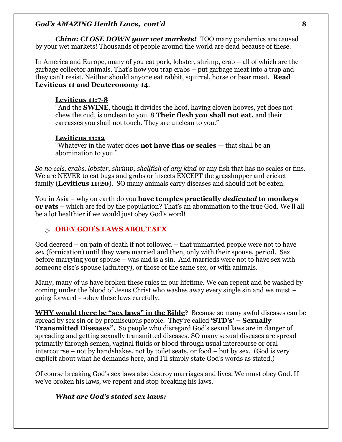*China: CLOSE DOWN your wet markets!* TOO many pandemics are caused by your wet markets! Thousands of people around the world are dead because of these.

In America and Europe, many of you eat pork, lobster, shrimp, crab – all of which are the garbage collector animals. That's how you trap crabs – put garbage meat into a trap and they can't resist. Neither should anyone eat rabbit, squirrel, horse or bear meat. **Read Leviticus 11 and Deuteronomy 14**.

# **Leviticus 11:7-8**

"And the **SWINE**, though it divides the hoof, having cloven hooves, yet does not chew the cud, is unclean to you. 8 **Their flesh you shall not eat,** and their carcasses you shall not touch. They are unclean to you."

# **Leviticus 11:12**

"Whatever in the water does **not have fins or scales** — that shall be an abomination to you."

*So no eels, crabs, lobster, shrimp, shellfish of any kind* or any fish that has no scales or fins. We are NEVER to eat bugs and grubs or insects EXCEPT the grasshopper and cricket family (**Leviticus 11:20**). SO many animals carry diseases and should not be eaten.

You in Asia – why on earth do you **have temples practically** *dedicated* **to monkeys or rats** – which are fed by the population? That's an abomination to the true God. We'll all be a lot healthier if we would just obey God's word!

# 5. **OBEY GOD'S LAWS ABOUT SEX**

God decreed – on pain of death if not followed – that unmarried people were not to have sex (fornication) until they were married and then, only with their spouse, period. Sex before marrying your spouse – was and is a sin. And marrieds were not to have sex with someone else's spouse (adultery), or those of the same sex, or with animals.

Many, many of us have broken these rules in our lifetime. We can repent and be washed by coming under the blood of Jesus Christ who washes away every single sin and we must – going forward - -obey these laws carefully.

**WHY would there be "sex laws" in the Bible**? Because so many awful diseases can be spread by sex sin or by promiscuous people. They're called **'STD's' – Sexually Transmitted Diseases".** So people who disregard God's sexual laws are in danger of spreading and getting sexually transmitted diseases. SO many sexual diseases are spread primarily through semen, vaginal fluids or blood through usual intercourse or oral intercourse – not by handshakes, not by toilet seats, or food – but by sex. (God is very explicit about what he demands here, and I'll simply state God's words as stated.)

Of course breaking God's sex laws also destroy marriages and lives. We must obey God. If we've broken his laws, we repent and stop breaking his laws.

# *What are God's stated sex laws:*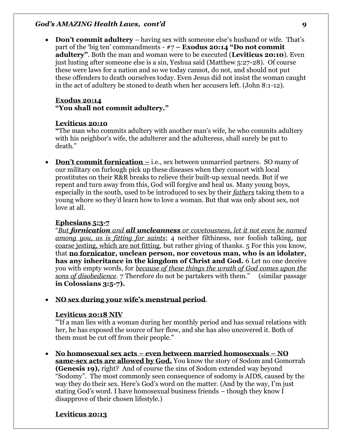• **Don't commit adultery** – having sex with someone else's husband or wife. That's part of the 'big ten' commandments - #7 **– Exodus 20:14 "Do not commit adultery"**. Both the man and woman were to be executed (**Leviticus 20:10**). Even just lusting after someone else is a sin, Yeshua said (Matthew 5:27-28). Of course these were laws for a nation and so we today cannot, do not, and should not put these offenders to death ourselves today. Even Jesus did not insist the woman caught in the act of adultery be stoned to death when her accusers left. (John 8:1-12).

### **Exodus 20:14 "You shall not commit adultery."**

### **Leviticus 20:10**

**"**The man who commits adultery with another man's wife, he who commits adultery with his neighbor's wife, the adulterer and the adulteress, shall surely be put to death."

• **Don't commit fornication** – i.e., sex between unmarried partners. SO many of our military on furlough pick up these diseases when they consort with local prostitutes on their R&R breaks to relieve their built-up sexual needs. But if we repent and turn away from this, God will forgive and heal us. Many young boys, especially in the south, used to be introduced to sex by their *fathers* taking them to a young whore so they'd learn how to love a woman. But that was only about sex, not love at all.

# **Ephesians 5:3-7**

"*But fornication and all uncleanness or covetousness, let it not even be named among you, as is fitting for saints*; 4 neither filthiness, nor foolish talking, nor coarse jesting, which are not fitting, but rather giving of thanks. 5 For this you know, that **no fornicator, unclean person, nor covetous man, who is an idolater, has any inheritance in the kingdom of Christ and God.** 6 Let no one deceive you with empty words, for *because of these things the wrath of God comes upon the sons of disobedience*. 7 Therefore do not be partakers with them." (similar passage **in Colossians 3:5-7).** 

# • **NO sex during your wife's menstrual period**.

### **Leviticus 20:18 NIV**

"'If a man lies with a woman during her monthly period and has sexual relations with her, he has exposed the source of her flow, and she has also uncovered it. Both of them must be cut off from their people."

• **No homosexual sex acts – even between married homosexuals – NO same-sex acts are allowed by God.** You know the story of Sodom and Gomorrah **(Genesis 19),** right? And of course the sins of Sodom extended way beyond "Sodomy". The most commonly seen consequence of sodomy is AIDS, caused by the way they do their sex. Here's God's word on the matter. (And by the way, I'm just stating God's word. I have homosexual business friends – though they know I disapprove of their chosen lifestyle.)

# **Leviticus 20:13**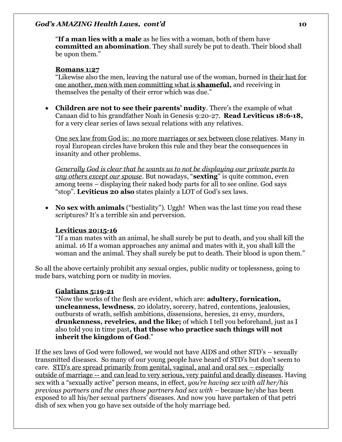"**If a man lies with a male** as he lies with a woman, both of them have **committed an abomination**. They shall surely be put to death. Their blood shall be upon them."

### **Romans 1:27**

"Likewise also the men, leaving the natural use of the woman, burned in their lust for one another, men with men committing what is **shameful,** and receiving in themselves the penalty of their error which was due."

• **Children are not to see their parents' nudity**. There's the example of what Canaan did to his grandfather Noah in Genesis 9:20-27. **Read Leviticus 18:6-18,** for a very clear series of laws sexual relations with any relatives.

One sex law from God is: no more marriages or sex between close relatives. Many in royal European circles have broken this rule and they bear the consequences in insanity and other problems.

*Generally God is clear that he wants us to not be displaying our private parts to any others except our spouse*. But nowadays, "**sexting**" is quite common, even among teens – displaying their naked body parts for all to see online. God says "stop". **Leviticus 20 also** states plainly a LOT of God's sex laws.

• **No sex with animals** ("bestiality"). Uggh! When was the last time you read these scriptures? It's a terrible sin and perversion.

### **Leviticus 20:15-16**

"If a man mates with an animal, he shall surely be put to death, and you shall kill the animal. 16 If a woman approaches any animal and mates with it, you shall kill the woman and the animal. They shall surely be put to death. Their blood is upon them."

So all the above certainly prohibit any sexual orgies, public nudity or toplessness, going to nude bars, watching porn or nudity in movies.

### **Galatians 5:19-21**

"Now the works of the flesh are evident, which are: **adultery, fornication, uncleanness, lewdness**, 20 idolatry, sorcery, hatred, contentions, jealousies, outbursts of wrath, selfish ambitions, dissensions, heresies, 21 envy, murders, **drunkenness, revelries, and the like;** of which I tell you beforehand, just as I also told you in time past**, that those who practice such things will not inherit the kingdom of God**."

If the sex laws of God were followed, we would not have AIDS and other STD's – sexually transmitted diseases. So many of our young people have heard of STD's but don't seem to care. STD's are spread primarily from genital, vaginal, anal and oral sex – especially outside of marriage -- and can lead to very serious, very painful and deadly diseases. Having sex with a "sexually active" person means, in effect*, you're having sex with all her/his previous partners and the ones those partners had sex with –* because he/she has been exposed to all his/her sexual partners' diseases. And now you have partaken of that petri dish of sex when you go have sex outside of the holy marriage bed.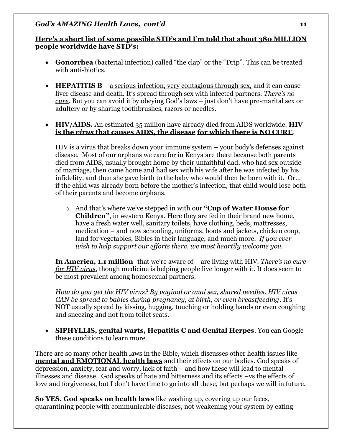# **Here's a short list of some possible STD's and I'm told that about 380 MILLION people worldwide have STD's:**

- **Gonorrhea** (bacterial infection) called "the clap" or the "Drip". This can be treated with anti-biotics.
- **HEPATITIS B** a serious infection, very contagious through sex, and it can cause liver disease and death. It's spread through sex with infected partners. *There's no cure*. But you can avoid it by obeying God's laws – just don't have pre-marital sex or adultery or by sharing toothbrushes, razors or needles.

# • **HIV/AIDS.** An estimated 35 million have already died from AIDS worldwide. **HIV is the** *virus* **that causes AIDS, the disease for which there is NO CURE**.

HIV is a virus that breaks down your immune system – your body's defenses against disease. Most of our orphans we care for in Kenya are there because both parents died from AIDS, usually brought home by their unfaithful dad, who had sex outside of marriage, then came home and had sex with his wife after he was infected by his infidelity, and then she gave birth to the baby who would then be born with it. Or… if the child was already born before the mother's infection, that child would lose both of their parents and become orphans.

o And that's where we've stepped in with our **"Cup of Water House for Children"**, in western Kenya. Here they are fed in their brand new home, have a fresh water well, sanitary toilets, have clothing, beds, mattresses, medication – and now schooling, uniforms, boots and jackets, chicken coop, land for vegetables, Bibles in their language, and much more. *If you ever wish to help support our efforts there, we most heartily welcome you.*

**In America, 1.1 million**- that we're aware of – are living with HIV. *There's no cure for HIV virus*, though medicine is helping people live longer with it. It does seem to be most prevalent among homosexual partners.

*How do you get the HIV virus? By vaginal or anal sex, shared needles. HIV virus CAN be spread to babies during pregnancy, at birth, or even breastfeeding*. It's NOT usually spread by kissing, hugging, touching or holding hands or even coughing and sneezing and not from toilet seats.

• **SIPHYLLIS, genital warts, Hepatitis C and Genital Herpes**. You can Google these conditions to learn more.

There are so many other health laws in the Bible, which discusses other health issues like **mental and EMOTIONAL health laws** and their effects on our bodies. God speaks of depression, anxiety, fear and worry, lack of faith – and how these will lead to mental illnesses and disease. God speaks of hate and bitterness and its effects –vs the effects of love and forgiveness, but I don't have time to go into all these, but perhaps we will in future.

**So YES, God speaks on health laws** like washing up, covering up our feces, quarantining people with communicable diseases, not weakening your system by eating